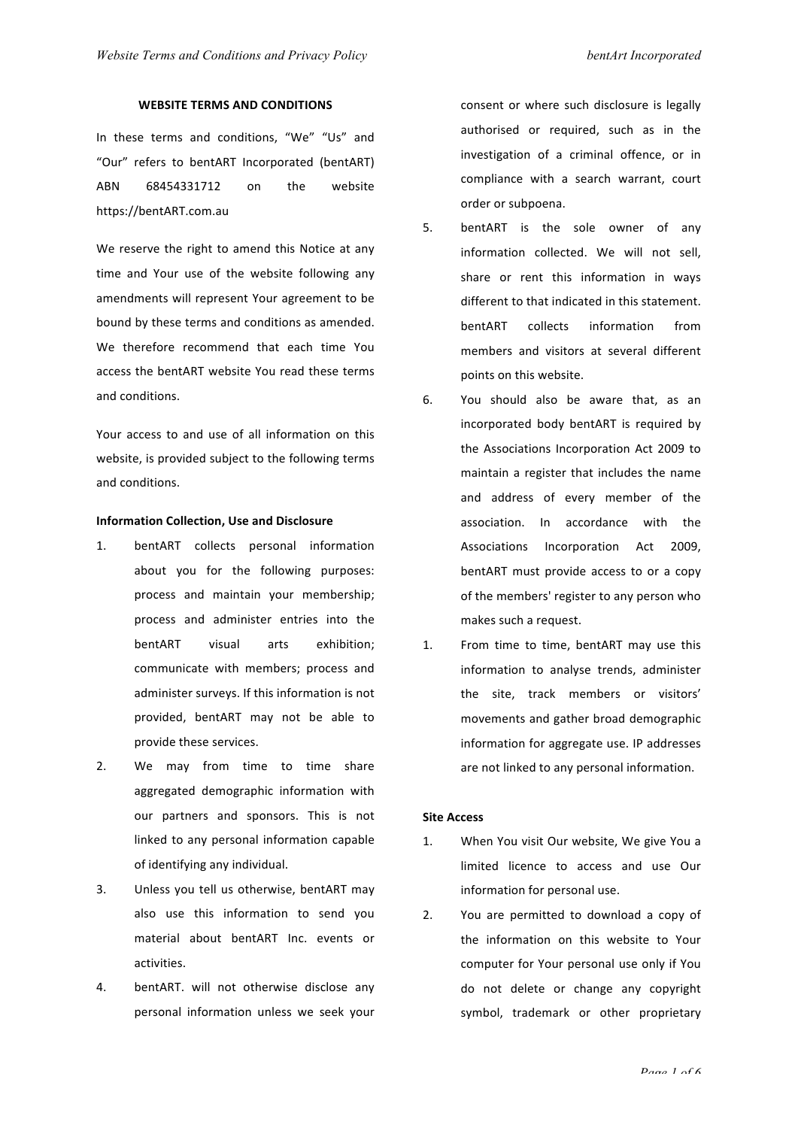## **WEBSITE TERMS AND CONDITIONS**

In these terms and conditions, "We" "Us" and "Our" refers to bentART Incorporated (bentART) ABN 68454331712 on the website https://bentART.com.au

We reserve the right to amend this Notice at any time and Your use of the website following any amendments will represent Your agreement to be bound by these terms and conditions as amended. We therefore recommend that each time You access the bentART website You read these terms and conditions.

Your access to and use of all information on this website, is provided subject to the following terms and conditions.

#### **Information Collection, Use and Disclosure**

- 1. bentART collects personal information about you for the following purposes: process and maintain your membership; process and administer entries into the bentART visual arts exhibition; communicate with members; process and administer surveys. If this information is not provided, bentART may not be able to provide these services.
- 2. We may from time to time share aggregated demographic information with our partners and sponsors. This is not linked to any personal information capable of identifying any individual.
- 3. Unless you tell us otherwise, bentART may also use this information to send you material about bentART Inc. events or activities.
- 4. bentART. will not otherwise disclose any personal information unless we seek your

consent or where such disclosure is legally authorised or required, such as in the investigation of a criminal offence, or in compliance with a search warrant, court order or subpoena.

- 5. bentART is the sole owner of any information collected. We will not sell, share or rent this information in ways different to that indicated in this statement. bentART collects information from members and visitors at several different points on this website.
- 6. You should also be aware that, as an incorporated body bentART is required by the Associations Incorporation Act 2009 to maintain a register that includes the name and address of every member of the association. In accordance with the Associations Incorporation Act 2009, bentART must provide access to or a copy of the members' register to any person who makes such a request.
- 1. From time to time, bentART may use this information to analyse trends, administer the site, track members or visitors' movements and gather broad demographic information for aggregate use. IP addresses are not linked to any personal information.

#### **Site Access**

- 1. When You visit Our website, We give You a limited licence to access and use Our information for personal use.
- 2. You are permitted to download a copy of the information on this website to Your computer for Your personal use only if You do not delete or change any copyright symbol, trademark or other proprietary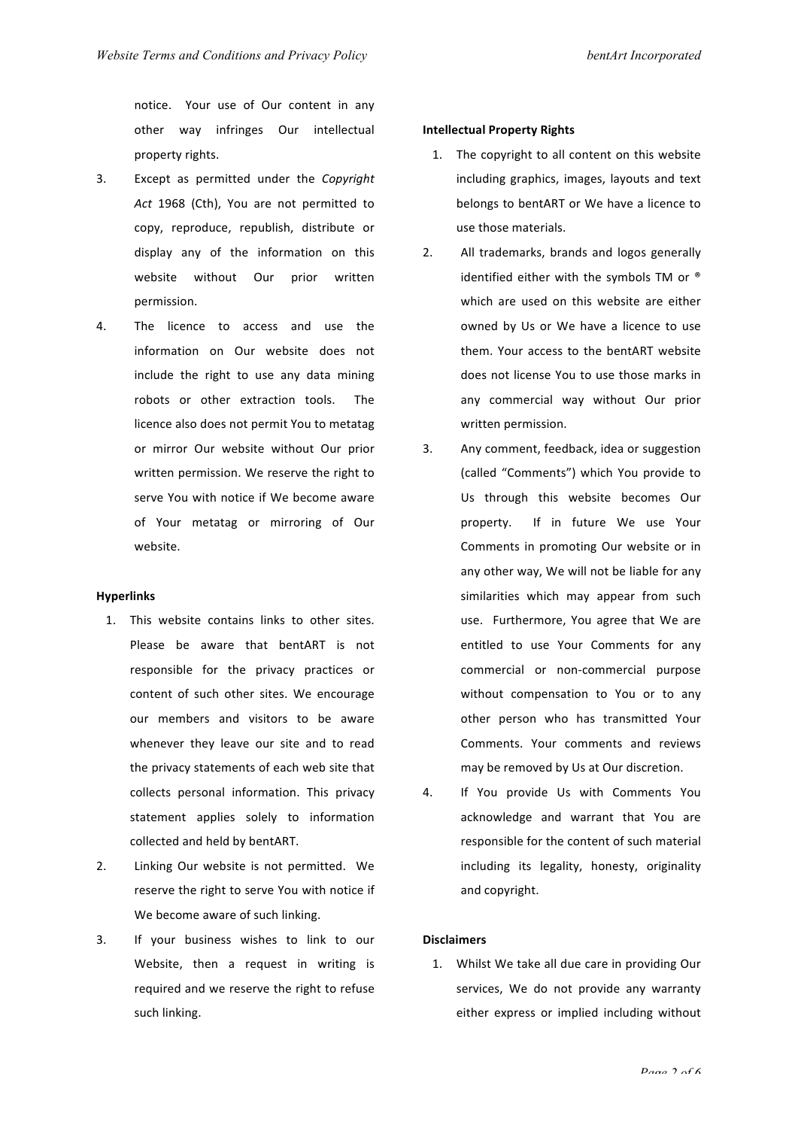notice. Your use of Our content in any other way infringes Our intellectual property rights.

- 3. Except as permitted under the *Copyright* Act 1968 (Cth), You are not permitted to copy, reproduce, republish, distribute or display any of the information on this website without Our prior written permission.
- 4. The licence to access and use the information on Our website does not include the right to use any data mining robots or other extraction tools. The licence also does not permit You to metatag or mirror Our website without Our prior written permission. We reserve the right to serve You with notice if We become aware of Your metatag or mirroring of Our website.

#### **Hyperlinks**

- 1. This website contains links to other sites. Please be aware that bentART is not responsible for the privacy practices or content of such other sites. We encourage our members and visitors to be aware whenever they leave our site and to read the privacy statements of each web site that collects personal information. This privacy statement applies solely to information collected and held by bentART.
- 2. Linking Our website is not permitted. We reserve the right to serve You with notice if We become aware of such linking.
- 3. If your business wishes to link to our Website, then a request in writing is required and we reserve the right to refuse such linking.

#### **Intellectual Property Rights**

- 1. The copyright to all content on this website including graphics, images, layouts and text belongs to bentART or We have a licence to use those materials.
- 2. All trademarks, brands and logos generally identified either with the symbols TM or  $^{\circ}$ which are used on this website are either owned by Us or We have a licence to use them. Your access to the bentART website does not license You to use those marks in any commercial way without Our prior written permission.
- 3. Any comment, feedback, idea or suggestion (called "Comments") which You provide to Us through this website becomes Our property. If in future We use Your Comments in promoting Our website or in any other way, We will not be liable for any similarities which may appear from such use. Furthermore, You agree that We are entitled to use Your Comments for any commercial or non-commercial purpose without compensation to You or to any other person who has transmitted Your Comments. Your comments and reviews may be removed by Us at Our discretion.
- 4. If You provide Us with Comments You acknowledge and warrant that You are responsible for the content of such material including its legality, honesty, originality and copyright.

#### **Disclaimers**

1. Whilst We take all due care in providing Our services, We do not provide any warranty either express or implied including without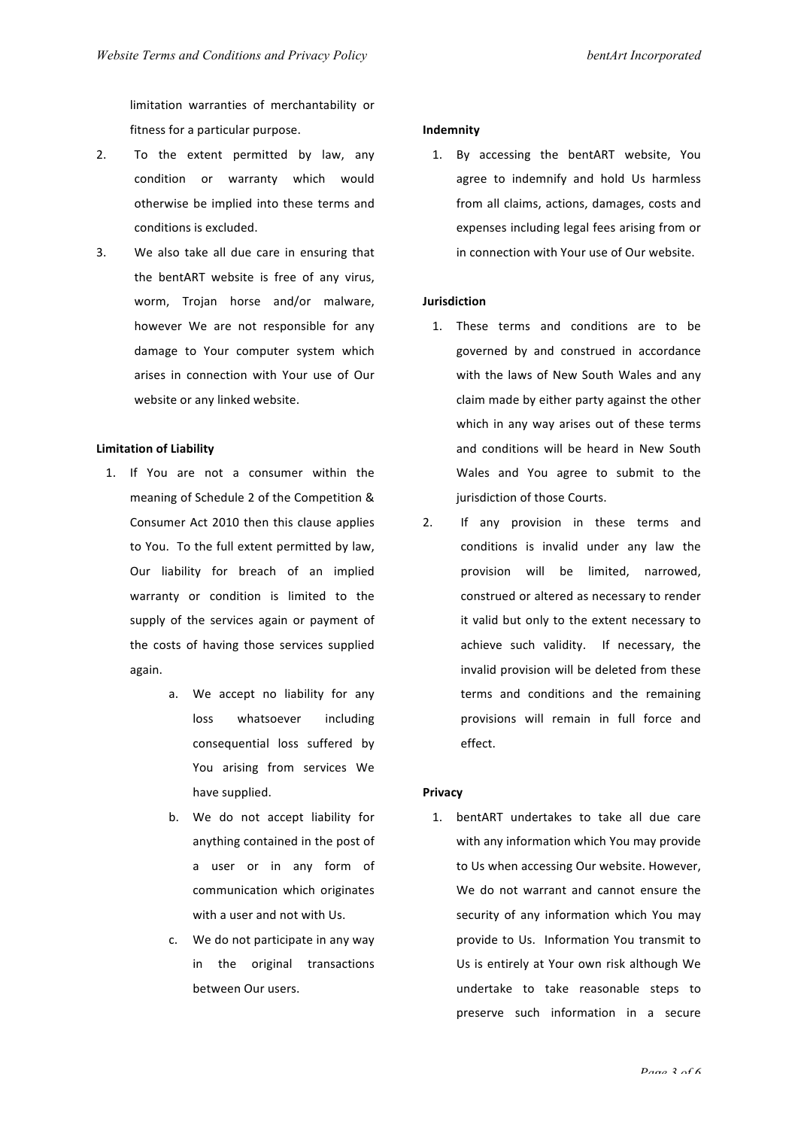limitation warranties of merchantability or fitness for a particular purpose.

- 2. To the extent permitted by law, any condition or warranty which would otherwise be implied into these terms and conditions is excluded.
- 3. We also take all due care in ensuring that the bentART website is free of any virus, worm, Trojan horse and/or malware, however We are not responsible for any damage to Your computer system which arises in connection with Your use of Our website or any linked website.

## **Limitation of Liability**

- 1. If You are not a consumer within the meaning of Schedule 2 of the Competition & Consumer Act 2010 then this clause applies to You. To the full extent permitted by law, Our liability for breach of an implied warranty or condition is limited to the supply of the services again or payment of the costs of having those services supplied again.
	- a. We accept no liability for any loss whatsoever including consequential loss suffered by You arising from services We have supplied.
	- b. We do not accept liability for anything contained in the post of a user or in any form of communication which originates with a user and not with Us.
	- c. We do not participate in any way in the original transactions between Our users.

#### **Indemnity**

1. By accessing the bentART website, You agree to indemnify and hold Us harmless from all claims, actions, damages, costs and expenses including legal fees arising from or in connection with Your use of Our website.

## **Jurisdiction**

- 1. These terms and conditions are to be governed by and construed in accordance with the laws of New South Wales and any claim made by either party against the other which in any way arises out of these terms and conditions will be heard in New South Wales and You agree to submit to the jurisdiction of those Courts.
- 2. If any provision in these terms and conditions is invalid under any law the provision will be limited, narrowed, construed or altered as necessary to render it valid but only to the extent necessary to achieve such validity. If necessary, the invalid provision will be deleted from these terms and conditions and the remaining provisions will remain in full force and effect.

#### **Privacy**

1. bentART undertakes to take all due care with any information which You may provide to Us when accessing Our website. However, We do not warrant and cannot ensure the security of any information which You may provide to Us. Information You transmit to Us is entirely at Your own risk although We undertake to take reasonable steps to preserve such information in a secure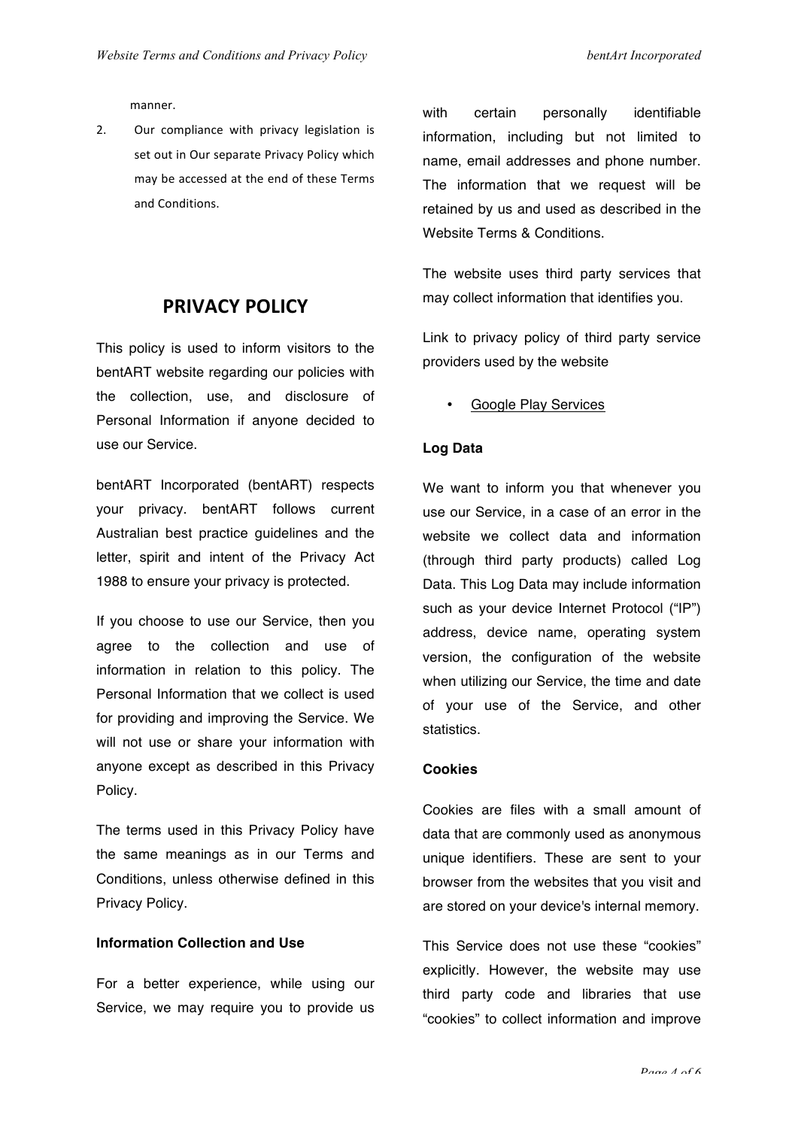manner.

2. Our compliance with privacy legislation is set out in Our separate Privacy Policy which may be accessed at the end of these Terms and Conditions.

# **PRIVACY POLICY**

This policy is used to inform visitors to the bentART website regarding our policies with the collection, use, and disclosure of Personal Information if anyone decided to use our Service.

bentART Incorporated (bentART) respects your privacy. bentART follows current Australian best practice guidelines and the letter, spirit and intent of the Privacy Act 1988 to ensure your privacy is protected.

If you choose to use our Service, then you agree to the collection and use of information in relation to this policy. The Personal Information that we collect is used for providing and improving the Service. We will not use or share your information with anyone except as described in this Privacy Policy.

The terms used in this Privacy Policy have the same meanings as in our Terms and Conditions, unless otherwise defined in this Privacy Policy.

#### **Information Collection and Use**

For a better experience, while using our Service, we may require you to provide us with certain personally identifiable information, including but not limited to name, email addresses and phone number. The information that we request will be retained by us and used as described in the Website Terms & Conditions.

The website uses third party services that may collect information that identifies you.

Link to privacy policy of third party service providers used by the website

• Google Play Services

## **Log Data**

We want to inform you that whenever you use our Service, in a case of an error in the website we collect data and information (through third party products) called Log Data. This Log Data may include information such as your device Internet Protocol ("IP") address, device name, operating system version, the configuration of the website when utilizing our Service, the time and date of your use of the Service, and other statistics.

#### **Cookies**

Cookies are files with a small amount of data that are commonly used as anonymous unique identifiers. These are sent to your browser from the websites that you visit and are stored on your device's internal memory.

This Service does not use these "cookies" explicitly. However, the website may use third party code and libraries that use "cookies" to collect information and improve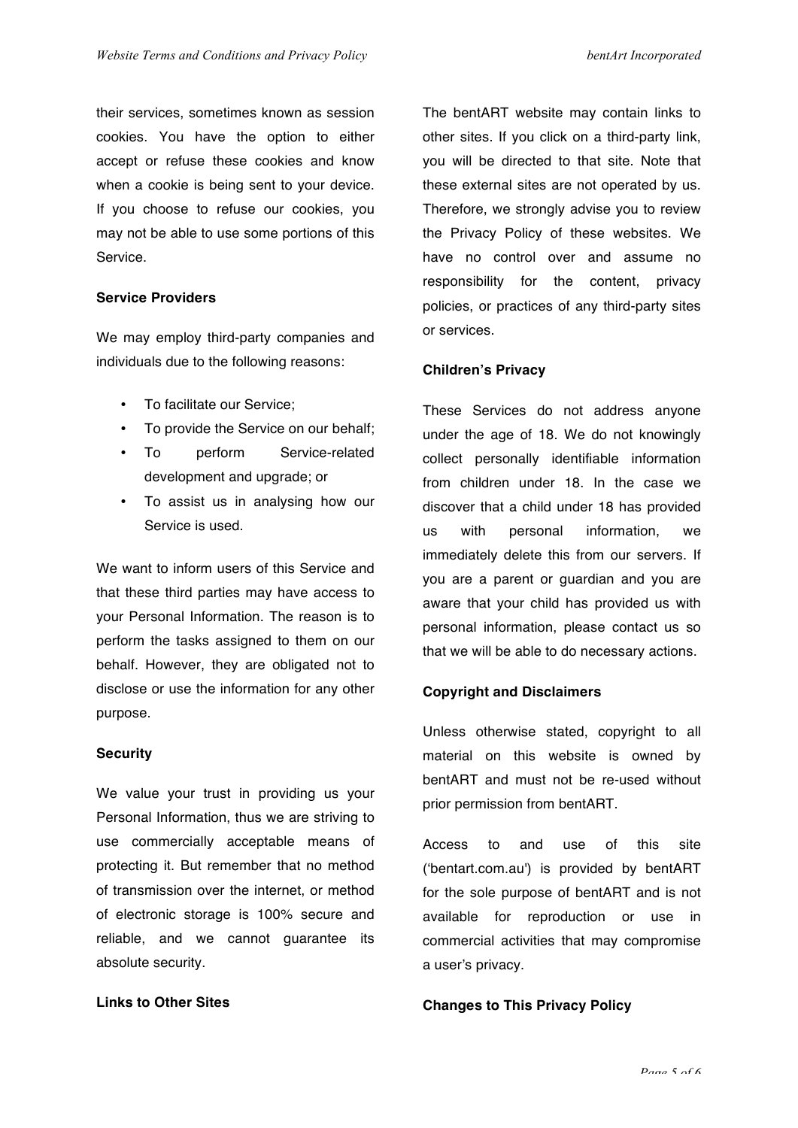their services, sometimes known as session cookies. You have the option to either accept or refuse these cookies and know when a cookie is being sent to your device. If you choose to refuse our cookies, you may not be able to use some portions of this Service.

# **Service Providers**

We may employ third-party companies and individuals due to the following reasons:

- To facilitate our Service;
- To provide the Service on our behalf;
- To perform Service-related development and upgrade; or
- To assist us in analysing how our Service is used.

We want to inform users of this Service and that these third parties may have access to your Personal Information. The reason is to perform the tasks assigned to them on our behalf. However, they are obligated not to disclose or use the information for any other purpose.

# **Security**

We value your trust in providing us your Personal Information, thus we are striving to use commercially acceptable means of protecting it. But remember that no method of transmission over the internet, or method of electronic storage is 100% secure and reliable, and we cannot guarantee its absolute security.

# **Links to Other Sites**

The bentART website may contain links to other sites. If you click on a third-party link, you will be directed to that site. Note that these external sites are not operated by us. Therefore, we strongly advise you to review the Privacy Policy of these websites. We have no control over and assume no responsibility for the content, privacy policies, or practices of any third-party sites or services.

## **Children's Privacy**

These Services do not address anyone under the age of 18. We do not knowingly collect personally identifiable information from children under 18. In the case we discover that a child under 18 has provided us with personal information, we immediately delete this from our servers. If you are a parent or guardian and you are aware that your child has provided us with personal information, please contact us so that we will be able to do necessary actions.

## **Copyright and Disclaimers**

Unless otherwise stated, copyright to all material on this website is owned by bentART and must not be re-used without prior permission from bentART.

Access to and use of this site ('bentart.com.au') is provided by bentART for the sole purpose of bentART and is not available for reproduction or use in commercial activities that may compromise a user's privacy.

# **Changes to This Privacy Policy**